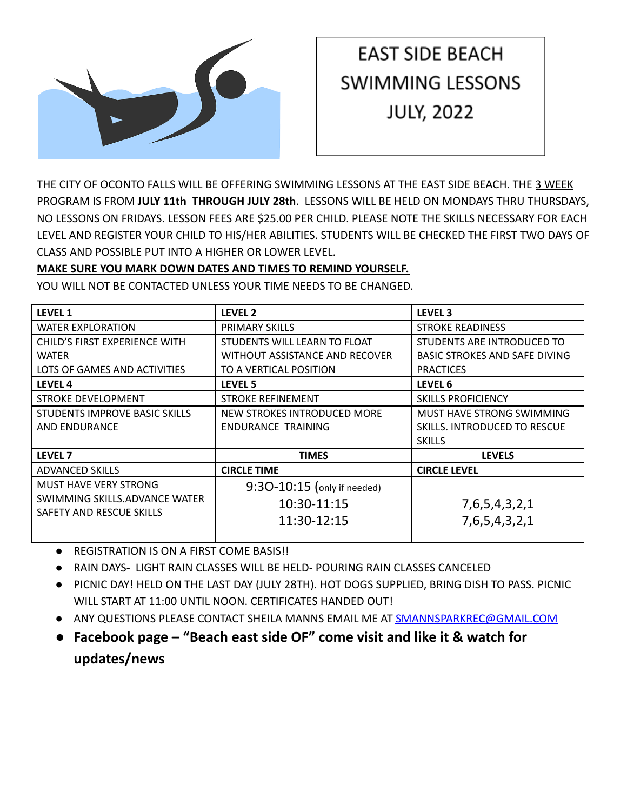

# **EAST SIDE BEACH SWIMMING LESSONS JULY, 2022**

THE CITY OF OCONTO FALLS WILL BE OFFERING SWIMMING LESSONS AT THE EAST SIDE BEACH. THE 3 WEEK PROGRAM IS FROM **JULY 11th THROUGH JULY 28th**. LESSONS WILL BE HELD ON MONDAYS THRU THURSDAYS, NO LESSONS ON FRIDAYS. LESSON FEES ARE \$25.00 PER CHILD. PLEASE NOTE THE SKILLS NECESSARY FOR EACH LEVEL AND REGISTER YOUR CHILD TO HIS/HER ABILITIES. STUDENTS WILL BE CHECKED THE FIRST TWO DAYS OF CLASS AND POSSIBLE PUT INTO A HIGHER OR LOWER LEVEL.

### **MAKE SURE YOU MARK DOWN DATES AND TIMES TO REMIND YOURSELF.**

YOU WILL NOT BE CONTACTED UNLESS YOUR TIME NEEDS TO BE CHANGED.

| <b>LEVEL 1</b>                       | LEVEL <sub>2</sub>             | LEVEL <sub>3</sub>                   |
|--------------------------------------|--------------------------------|--------------------------------------|
| <b>WATER EXPLORATION</b>             | PRIMARY SKILLS                 | <b>STROKE READINESS</b>              |
| CHILD'S FIRST EXPERIENCE WITH        | STUDENTS WILL LEARN TO FLOAT   | STUDENTS ARE INTRODUCED TO           |
| <b>WATER</b>                         | WITHOUT ASSISTANCE AND RECOVER | <b>BASIC STROKES AND SAFE DIVING</b> |
| LOTS OF GAMES AND ACTIVITIES         | TO A VERTICAL POSITION         | <b>PRACTICES</b>                     |
| LEVEL 4                              | LEVEL 5                        | LEVEL 6                              |
| <b>STROKE DEVELOPMENT</b>            | <b>STROKE REFINEMENT</b>       | <b>SKILLS PROFICIENCY</b>            |
| <b>STUDENTS IMPROVE BASIC SKILLS</b> | NEW STROKES INTRODUCED MORE    | MUST HAVE STRONG SWIMMING            |
| AND ENDURANCE                        | ENDURANCE TRAINING             | SKILLS. INTRODUCED TO RESCUE         |
|                                      |                                | <b>SKILLS</b>                        |
| <b>LEVEL 7</b>                       | <b>TIMES</b>                   | <b>LEVELS</b>                        |
| <b>ADVANCED SKILLS</b>               | <b>CIRCLE TIME</b>             | <b>CIRCLE LEVEL</b>                  |
| <b>MUST HAVE VERY STRONG</b>         | 9:30-10:15 (only if needed)    |                                      |
| SWIMMING SKILLS.ADVANCE WATER        | 10:30-11:15                    | 7, 6, 5, 4, 3, 2, 1                  |
| SAFETY AND RESCUE SKILLS             | 11:30-12:15                    |                                      |
|                                      |                                | 7,6,5,4,3,2,1                        |

- REGISTRATION IS ON A FIRST COME BASIS!!
- RAIN DAYS- LIGHT RAIN CLASSES WILL BE HELD- POURING RAIN CLASSES CANCELED
- PICNIC DAY! HELD ON THE LAST DAY (JULY 28TH). HOT DOGS SUPPLIED, BRING DISH TO PASS. PICNIC WILL START AT 11:00 UNTIL NOON. CERTIFICATES HANDED OUT!
- ANY QUESTIONS PLEASE CONTACT SHEILA MANNS EMAIL ME AT [SMANNSPARKREC@GMAIL.COM](mailto:SMANNSPARKREC@GMAIL.COM)
- **● Facebook page "Beach east side OF" come visit and like it & watch for updates/news**